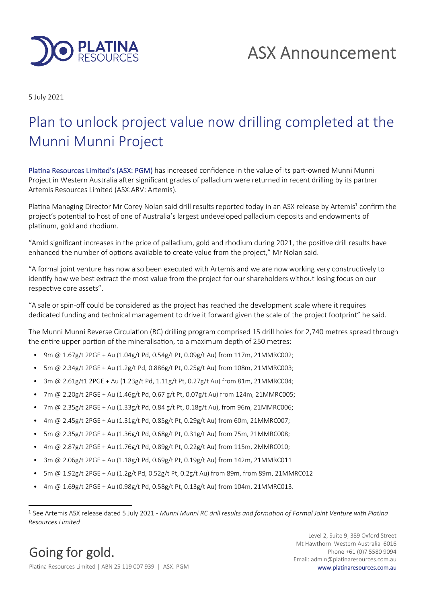

5 July 2021

# Plan to unlock project value now drilling completed at the Munni Munni Project

Platina Resources Limited's (ASX: PGM) has increased confidence in the value of its part-owned Munni Munni Project in Western Australia after significant grades of palladium were returned in recent drilling by its partner Artemis Resources Limited (ASX:ARV: Artemis).

Platina Managing Director Mr Corey Nolan said drill results reported today in an ASX release by Artemis<sup>1</sup> confirm the project's potential to host of one of Australia's largest undeveloped palladium deposits and endowments of platinum, gold and rhodium.

"Amid significant increases in the price of palladium, gold and rhodium during 2021, the positive drill results have enhanced the number of options available to create value from the project," Mr Nolan said.

"A formal joint venture has now also been executed with Artemis and we are now working very constructively to identify how we best extract the most value from the project for our shareholders without losing focus on our respective core assets".

"A sale or spin-off could be considered as the project has reached the development scale where it requires dedicated funding and technical management to drive it forward given the scale of the project footprint" he said.

The Munni Munni Reverse Circulation (RC) drilling program comprised 15 drill holes for 2,740 metres spread through the entire upper portion of the mineralisation, to a maximum depth of 250 metres:

- 9m @ 1.67g/t 2PGE + Au (1.04g/t Pd, 0.54g/t Pt, 0.09g/t Au) from 117m, 21MMRC002;
- 5m @ 2.34g/t 2PGE + Au (1.2g/t Pd, 0.886g/t Pt, 0.25g/t Au) from 108m, 21MMRC003;
- 3m @ 2.61g/t1 2PGE + Au (1.23g/t Pd, 1.11g/t Pt, 0.27g/t Au) from 81m, 21MMRC004;
- $7m \omega$  2.20g/t 2PGE + Au (1.46g/t Pd, 0.67 g/t Pt, 0.07g/t Au) from 124m, 21MMRC005;
- 7m @ 2.35g/t 2PGE + Au (1.33g/t Pd, 0.84 g/t Pt, 0.18g/t Au), from 96m, 21MMRC006;
- 4m @ 2.45g/t 2PGE + Au (1.31g/t Pd, 0.85g/t Pt, 0.29g/t Au) from 60m, 21MMRC007;
- 5m @ 2.35g/t 2PGE + Au (1.36g/t Pd, 0.68g/t Pt, 0.31g/t Au) from 75m, 21MMRC008;
- $4m \omega$  2.87g/t 2PGE + Au (1.76g/t Pd, 0.89g/t Pt, 0.22g/t Au) from 115m, 2MMRC010;
- 3m @ 2.06g/t 2PGE + Au (1.18g/t Pd, 0.69g/t Pt, 0.19g/t Au) from 142m, 21MMRC011
- 5m @ 1.92g/t 2PGE + Au (1.2g/t Pd, 0.52g/t Pt, 0.2g/t Au) from 89m, from 89m, 21MMRC012
- 4m @ 1.69g/t 2PGE + Au (0.98g/t Pd, 0.58g/t Pt, 0.13g/t Au) from 104m, 21MMRC013.

Going for gold. Platina Resources Limited | ABN 25 119 007 939 | ASX: PGM www.platinaresources.com.au

Level 2, Suite 9, 389 Oxford Street Mt Hawthorn Western Australia 6016 Phone +61 (0)7 5580 9094 Email: admin@platinaresources.com.au

<sup>1</sup> See Artemis ASX release dated 5 July 2021 - *Munni Munni RC drill results and formation of Formal Joint Venture with Platina Resources Limited*